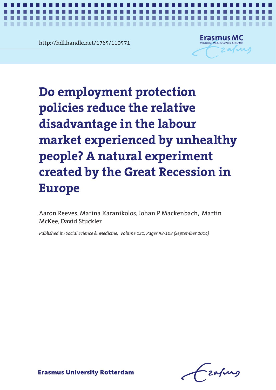http://hdl.handle.net/1765/110571

. . . . . . .



*Employment protection, job loss and health* **1**

Do employment protection policies reduce the relative experiment created by the Great Recession in Europe **disadvantage in the labour market experienced by unhealthy people? A natural experiment created by the Great Recession in Europe**

Aaron Reeves, Marina Karanikolos, Johan P Mackenbach, Martin McKee, David Stuckler

*Published in: Social Science & Medicine, Volume 121, Pages 98-108 (September 2014)*

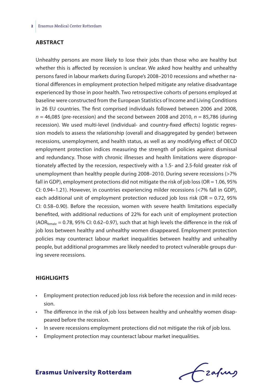#### **Abstract**

Unhealthy persons are more likely to lose their jobs than those who are healthy but whether this is affected by recession is unclear. We asked how healthy and unhealthy persons fared in labour markets during Europe's 2008–2010 recessions and whether national differences in employment protection helped mitigate any relative disadvantage experienced by those in poor health. Two retrospective cohorts of persons employed at baseline were constructed from the European Statistics of Income and Living Conditions in 26 EU countries. The first comprised individuals followed between 2006 and 2008, *n* = 46,085 (pre-recession) and the second between 2008 and 2010, *n* = 85,786 (during recession). We used multi-level (individual- and country-fixed effects) logistic regression models to assess the relationship (overall and disaggregated by gender) between recessions, unemployment, and health status, as well as any modifying effect of OECD employment protection indices measuring the strength of policies against dismissal and redundancy. Those with chronic illnesses and health limitations were disproportionately affected by the recession, respectively with a 1.5- and 2.5-fold greater risk of unemployment than healthy people during 2008–2010. During severe recessions (>7% fall in GDP), employment protections did not mitigate the risk of job loss (OR = 1.06, 95% CI: 0.94–1.21). However, in countries experiencing milder recessions (<7% fall in GDP), each additional unit of employment protection reduced job loss risk (OR  $= 0.72$ , 95% CI: 0.58–0.90). Before the recession, women with severe health limitations especially benefited, with additional reductions of 22% for each unit of employment protection  $(AOR_{female} = 0.78, 95\%$  CI: 0.62–0.97), such that at high levels the difference in the risk of job loss between healthy and unhealthy women disappeared. Employment protection policies may counteract labour market inequalities between healthy and unhealthy people, but additional programmes are likely needed to protect vulnerable groups during severe recessions.

#### **Highlights**

- Employment protection reduced job loss risk before the recession and in mild recession.
- The difference in the risk of job loss between healthy and unhealthy women disappeared before the recession.
- In severe recessions employment protections did not mitigate the risk of job loss.
- Employment protection may counteract labour market inequalities.

Czafurz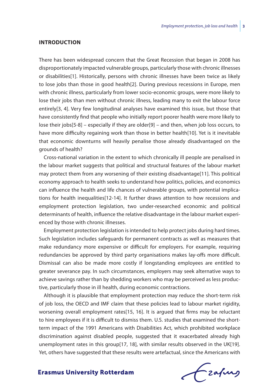#### **Introduction**

There has been widespread concern that the Great Recession that began in 2008 has disproportionately impacted vulnerable groups, particularly those with chronic illnesses or disabilities[1]. Historically, persons with chronic illnesses have been twice as likely to lose jobs than those in good health[2]. During previous recessions in Europe, men with chronic illness, particularly from lower socio-economic groups, were more likely to lose their jobs than men without chronic illness, leading many to exit the labour force entirely[3, 4]. Very few longitudinal analyses have examined this issue, but those that have consistently find that people who initially report poorer health were more likely to lose their jobs[5-8] – especially if they are older[9] – and then, when job loss occurs, to have more difficulty regaining work than those in better health[10]. Yet is it inevitable that economic downturns will heavily penalise those already disadvantaged on the grounds of health?

Cross-national variation in the extent to which chronically ill people are penalised in the labour market suggests that political and structural features of the labour market may protect them from any worsening of their existing disadvantage[11]. This political economy approach to health seeks to understand how politics, policies, and economics can influence the health and life chances of vulnerable groups, with potential implications for health inequalities[12-14]. It further draws attention to how recessions and employment protection legislation, two under-researched economic and political determinants of health, influence the relative disadvantage in the labour market experienced by those with chronic illnesses.

Employment protection legislation is intended to help protect jobs during hard times. Such legislation includes safeguards for permanent contracts as well as measures that make redundancy more expensive or difficult for employers. For example, requiring redundancies be approved by third party organisations makes lay-offs more difficult. Dismissal can also be made more costly if longstanding employees are entitled to greater severance pay. In such circumstances, employers may seek alternative ways to achieve savings rather than by shedding workers who may be perceived as less productive, particularly those in ill health, during economic contractions.

Although it is plausible that employment protection may reduce the short-term risk of job loss, the OECD and IMF claim that these policies lead to labour market rigidity, worsening overall employment rates[15, 16]. It is argued that firms may be reluctant to hire employees if it is difficult to dismiss them. U.S. studies that examined the shortterm impact of the 1991 Americans with Disabilities Act, which prohibited workplace discrimination against disabled people, suggested that it exacerbated already high unemployment rates in this group[17, 18], with similar results observed in the UK[19]. Yet, others have suggested that these results were artefactual, since the Americans with

frafing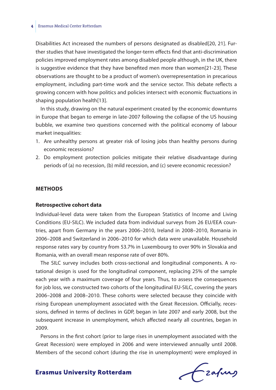#### **4** Erasmus Medical Center Rotterdam

Disabilities Act increased the numbers of persons designated as disabled[20, 21]. Further studies that have investigated the longer-term effects find that anti-discrimination policies improved employment rates among disabled people although, in the UK, there is suggestive evidence that they have benefited men more than women[21-23]. These observations are thought to be a product of women's overrepresentation in precarious employment, including part-time work and the service sector. This debate reflects a growing concern with how politics and policies intersect with economic fluctuations in shaping population health[13].

In this study, drawing on the natural experiment created by the economic downturns in Europe that began to emerge in late-2007 following the collapse of the US housing bubble, we examine two questions concerned with the political economy of labour market inequalities:

- 1. Are unhealthy persons at greater risk of losing jobs than healthy persons during economic recessions?
- 2. Do employment protection policies mitigate their relative disadvantage during periods of (a) no recession, (b) mild recession, and (c) severe economic recession?

#### **Methods**

#### **Retrospective cohort data**

Individual-level data were taken from the European Statistics of Income and Living Conditions (EU-SILC). We included data from individual surveys from 26 EU/EEA countries, apart from Germany in the years 2006–2010, Ireland in 2008–2010, Romania in 2006–2008 and Switzerland in 2006–2010 for which data were unavailable. Household response rates vary by country from 53.7% in Luxembourg to over 90% in Slovakia and Romania, with an overall mean response rate of over 80%.

The SILC survey includes both cross-sectional and longitudinal components. A rotational design is used for the longitudinal component, replacing 25% of the sample each year with a maximum coverage of four years. Thus, to assess the consequences for job loss, we constructed two cohorts of the longitudinal EU-SILC, covering the years 2006–2008 and 2008–2010. These cohorts were selected because they coincide with rising European unemployment associated with the Great Recession. Officially, recessions, defined in terms of declines in GDP, began in late 2007 and early 2008, but the subsequent increase in unemployment, which affected nearly all countries, began in 2009.

Persons in the first cohort (prior to large rises in unemployment associated with the Great Recession) were employed in 2006 and were interviewed annually until 2008. Members of the second cohort (during the rise in unemployment) were employed in

frafing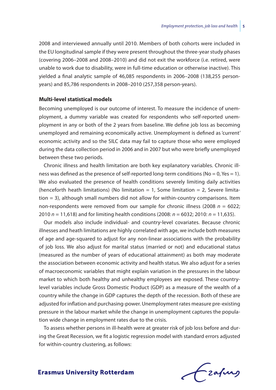2008 and interviewed annually until 2010. Members of both cohorts were included in the EU longitudinal sample if they were present throughout the three-year study phases (covering 2006–2008 and 2008–2010) and did not exit the workforce (i.e. retired, were unable to work due to disability, were in full-time education or otherwise inactive). This yielded a final analytic sample of 46,085 respondents in 2006–2008 (138,255 personyears) and 85,786 respondents in 2008–2010 (257,358 person-years).

#### **Multi-level statistical models**

Becoming unemployed is our outcome of interest. To measure the incidence of unemployment, a dummy variable was created for respondents who self-reported unemployment in any or both of the 2 years from baseline. We define job loss as becoming unemployed and remaining economically active. Unemployment is defined as 'current' economic activity and so the SILC data may fail to capture those who were employed during the data collection period in 2006 and in 2007 but who were briefly unemployed between these two periods.

Chronic illness and health limitation are both key explanatory variables. Chronic illness was defined as the presence of self-reported long-term conditions ( $No = 0$ ,  $Yes = 1$ ). We also evaluated the presence of health conditions severely limiting daily activities (henceforth heath limitations) (No limitation  $= 1$ , Some limitation  $= 2$ , Severe limitation = 3), although small numbers did not allow for within-country comparisons. Item non-respondents were removed from our sample for chronic illness (2008 *n* = 6022; 2010 *n* = 11,618) and for limiting health conditions (2008: *n* = 6032; 2010: *n* = 11,635).

Our models also include individual- and country-level covariates. Because chronic illnesses and heath limitations are highly correlated with age, we include both measures of age and age-squared to adjust for any non-linear associations with the probability of job loss. We also adjust for marital status (married or not) and educational status (measured as the number of years of educational attainment) as both may moderate the association between economic activity and health status. We also adjust for a series of macroeconomic variables that might explain variation in the pressures in the labour market to which both healthy and unhealthy employees are exposed. These countrylevel variables include Gross Domestic Product (GDP) as a measure of the wealth of a country while the change in GDP captures the depth of the recession. Both of these are adjusted for inflation and purchasing-power. Unemployment rates measure pre-existing pressure in the labour market while the change in unemployment captures the population wide change in employment rates due to the crisis.

To assess whether persons in ill-health were at greater risk of job loss before and during the Great Recession, we fit a logistic regression model with standard errors adjusted for within-country clustering, as follows:

frafing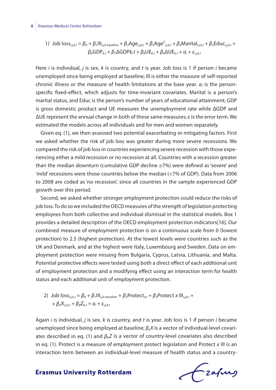#### **6** Erasmus Medical Center Rotterdam

1) Job loss<sub>i,j,k,t</sub> = 
$$
\beta_0 + \beta_1 III_{i,j,k \text{ baseline}} + \beta_2 A g e_{i,j,k,t} + \beta_3 A g e_{i,j,k,t} + \beta_4 M \text{arital}_{i,j,k,t} + \beta_5 Educ_{i,j,k,t} + \beta_6 GDP_{k,t} + \beta_7 \Delta GDP_k t + \beta_8 UE_{k,t} + \beta_9 \Delta UE_{k,t} + \alpha_i + \varepsilon_{i,j,k,t}
$$

Here *i* is individual, *j* is sex, *k* is country, and *t* is year. Job loss is 1 if person *i* became unemployed since being employed at baseline; Ill is either the measure of self-reported chronic illness or the measure of health limitations at the base year.  $\alpha_i$  is the personspecific fixed-effect, which adjusts for time-invariant covariates. Marital is a person's marital status, and Educ is the person's number of years of educational attainment; GDP is gross domestic product and UE measures the unemployment rate while ΔGDP and ΔUE represent the annual change in both of these same measures; ε is the error term. We estimated the models across all individuals and for men and women separately.

Given eq. (1), we then assessed two potential exacerbating or mitigating factors. First we asked whether the risk of job loss was greater during more severe recessions. We compared the risk of job loss in countries experiencing severe recession with those experiencing either a mild recession or no recession at all. Countries with a recession greater than the median downturn (cumulative GDP decline ≥7%) were defined as 'severe' and 'mild' recessions were those countries below the median (<7% of GDP). Data from 2006 to 2008 are coded as 'no recession', since all countries in the sample experienced GDP growth over this period.

Second, we asked whether stronger employment protection could reduce the risks of job loss. To do so we included the OECD measures of the strength of legislation protecting employees from both collective and individual dismissal in the statistical models. Box 1 provides a detailed description of the OECD employment protection indicators[16]. Our combined measure of employment protection is on a continuous scale from 0 (lowest protection) to 2.5 (highest protection). At the lowest levels were countries such as the UK and Denmark, and at the highest were Italy, Luxembourg and Sweden. Data on employment protection were missing from Bulgaria, Cyprus, Latvia, Lithuania, and Malta. Potential protective effects were tested using both a direct effect of each additional unit of employment protection and a modifying effect using an interaction term for health status and each additional unit of employment protection.

2) Job loss<sub>ij,k,t</sub> = 
$$
\beta_0 + \beta_1 III_{i,j,k \text{ baseline}} + \beta_2 \text{Protect}_{k,t} + \beta_3 \text{Protect } x \text{ III}_{i,j,k,t} + \beta_6 X_{i,j,k,t} + \beta_6 Z_{k,t} + \alpha_i + \varepsilon_{i,j,k,t}
$$

Again *i* is individual, *j* is sex, *k* is country, and *t* is year. Job loss is 1 if person *i* became unemployed since being employed at baseline;  $\beta_{\alpha}X$  is a vector of individual-level covariates described in eq. (1) and *β*b*Z* is a vector of country-level covariates also described in eq. (1). Protect is a measure of employment protect legislation and Protect *x* Ill is an interaction term between an individual-level measure of health status and a country-

frafing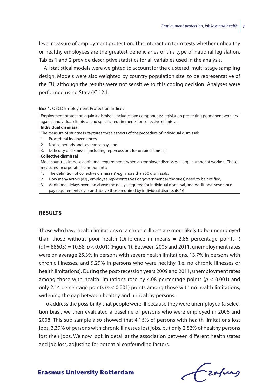level measure of employment protection. This interaction term tests whether unhealthy or healthy employees are the greatest beneficiaries of this type of national legislation. Tables 1 and 2 provide descriptive statistics for all variables used in the analysis.

All statistical models were weighted to account for the clustered, multi-stage sampling design. Models were also weighted by country population size, to be representative of the EU, although the results were not sensitive to this coding decision. Analyses were performed using Stata/IC 12.1.

#### **Box 1. OECD Employment Protection Indices**

| Employment protection against dismissal includes two components: legislation protecting permanent workers<br>against individual dismissal and specific requirements for collective dismissal. |
|-----------------------------------------------------------------------------------------------------------------------------------------------------------------------------------------------|
| Individual dismissal                                                                                                                                                                          |
| The measure of strictness captures three aspects of the procedure of individual dismissal:                                                                                                    |
| 1. Procedural inconveniences,                                                                                                                                                                 |
| 2. Notice periods and severance pay, and                                                                                                                                                      |
| 3. Difficulty of dismissal (including repercussions for unfair dismissal).                                                                                                                    |
| Collective dismissal                                                                                                                                                                          |
| Most countries impose additional requirements when an employer dismisses a large number of workers. These                                                                                     |
| measures incorporate 4 components:                                                                                                                                                            |
| 1. The definition of 'collective dismissals', e.g., more than 50 dismissals,                                                                                                                  |
| 2. How many actors (e.g., employee representatives or government authorities) need to be notified,                                                                                            |
| 3. Additional delays over and above the delays required for individual dismissal, and Additional severance                                                                                    |

pay requirements over and above those required by individual dismissals[16].

#### **Results**

Those who have health limitations or a chronic illness are more likely to be unemployed than those without poor health (Difference in means = 2.86 percentage points, *t* (df = 88603) = 10.58, *p* < 0.001) (Figure 1). Between 2005 and 2011, unemployment rates were on average 25.3% in persons with severe health limitations, 13.7% in persons with chronic illnesses, and 9.29% in persons who were healthy (i.e. no chronic illnesses or health limitations). During the post-recession years 2009 and 2011, unemployment rates among those with health limitations rose by 4.08 percentage points ( $p < 0.001$ ) and only 2.14 percentage points ( $p < 0.001$ ) points among those with no health limitations, widening the gap between healthy and unhealthy persons.

To address the possibility that people were ill because they were unemployed (a selection bias), we then evaluated a baseline of persons who were employed in 2006 and 2008. This sub-sample also showed that 4.16% of persons with health limitations lost jobs, 3.39% of persons with chronic illnesses lost jobs, but only 2.82% of healthy persons lost their jobs. We now look in detail at the association between different health states and job loss, adjusting for potential confounding factors.

Frafing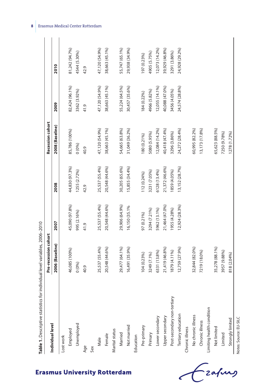| ć<br>i  |  |
|---------|--|
| l       |  |
|         |  |
|         |  |
| ֚֓<br>j |  |
|         |  |
|         |  |

| Individual level            | Pre-recession cohort |                |                 | <b>Recession cohort</b> |                |                |
|-----------------------------|----------------------|----------------|-----------------|-------------------------|----------------|----------------|
|                             | 2006 (Baseline)      | 2007           | 2008            | 2008 (Baseline)         | 2009           | 2010           |
| Lost work                   |                      |                |                 |                         |                |                |
| Employed                    | 46,085 (100%)        | 45,090 (97.8%) | 44,830 (97.3%)  | 85,786 (100%)           | 82,424 (96.1%) | 81,242 (94.7%) |
| Unemployed                  | 0(0%)                | 995 (2.16%)    | 1255 (2.72%)    | 0(0%)                   | 3362 (3.92%)   | 4544 (5.30%)   |
| Age                         | 40.9                 | 41.9           | 42.9            | 40.9                    | 41.9           | 42.9           |
| Sex                         |                      |                |                 |                         |                |                |
| Male                        | 25,537 (55.4%)       | 25,537 (55.4%) | 25,537 (55.4%)  | 47,120 (54.9%)          | 47,120 (54.9%) | 47,120 (54.9%) |
| Female                      | 20,548 (44.6%)       | 20,548 (44.6%) | 20,548 (44.6%)  | 38,663 (45.1%)          | 38,663 (45.1%) | 38,663 (45.1%) |
| Marital status              |                      |                |                 |                         |                |                |
| Married                     | 29,477 (64.1%)       | 29,906 (64.9%) | 30,205 (65.6%)  | 54,665 (63.8%)          | 55,224 (64.5%) | 55,747 (65.1%) |
| Not married                 | 16,491 (35.9%)       | 16,150 (35.1%  | 15,855 (34.4%)  | 31,049 (36.2%)          | 30,457 (35.6%) | 29,938 (34.9%) |
| Education                   |                      |                |                 |                         |                |                |
| Pre-primary                 | 104 (0.23%)          | 97 (0.21%)     | 112 (0.24%)     | 180 (0.21%)             | 184 (0.22%)    | 197 (0.23%)    |
| Primary                     | 3249 (7.1%)          | 3294 (7.21%)   | 3231 (7.05%)    | 5080 (5.95%)            | 4966 (5.82%)   | 4905 (5.75%)   |
| Lower secondary             | 6331 (13.8%)         | 5962 (13.1%)   | 6128 (13.4%)    | 12,084 (14.2%)          | 12,055 (14.1%) | 12,073 (14.2%) |
| Upper secondary             | 21,419 (46.8%)       | 21,464 (47.0%) | 21,372 (46.6%)  | 40,418 (47.4%)          | 40,088 (47.0%) | 39,929 (46.8%) |
| Post-secondary non-tertiary | 1879 (4.11%)         | 1955 (4.28%)   | 1859 (4.05%)    | 3296 (3.86%)            | 3456 (4.05%)   | 3291 (3.86%)   |
| Tertiary education          | 12,759 (27.9%)       | 12,924 (28.3%) | 13, 152 (28.7%) | 24,272 (28.4%)          | 24,574 (28.8%) | 24,928 (29.2%) |
| Chronic illness             |                      |                |                 |                         |                |                |
| No chronic illness          | 32,844 (82.0%)       |                |                 | 60,995 (82.2%)          |                |                |
| Chronic illness             | 7219 (18.0%)         |                |                 | 13, 173 (17.8%)         |                |                |
| Limiting health condition   |                      |                |                 |                         |                |                |
| Not limited                 | 35,278 (88.1%)       |                |                 | 65,623 (88.5%)          |                |                |
| Limited                     | 3957 (9.88%)         |                |                 | 7250 (9.78%)            |                |                |
| Strongly limited            | 818 (2.04%)          |                |                 | 1278 (1.72%)            |                |                |
| Notes: Source: EU-SILC      |                      |                |                 |                         |                |                |

## **8** Erasmus Medical Center Rotterdam

## **Erasmus University Rotterdam**

-<br>zafung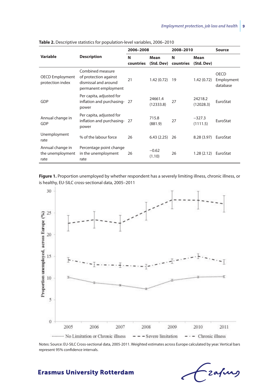|                                              |                                                                                           | 2006-2008      |                      | 2008-2010      |                      | Source                                |
|----------------------------------------------|-------------------------------------------------------------------------------------------|----------------|----------------------|----------------|----------------------|---------------------------------------|
| Variable                                     | <b>Description</b>                                                                        | N<br>countries | Mean<br>(Std. Dev)   | N<br>countries | Mean<br>(Std. Dev)   |                                       |
| <b>OECD Employment</b><br>protection index   | Combined measure<br>of protection against<br>dismissal and around<br>permanent employment | 21             | 1.42(0.72)           | 19             | 1.42(0.72)           | <b>OECD</b><br>Employment<br>database |
| GDP                                          | Per capita, adjusted for<br>inflation and purchasing-27<br>power                          |                | 24661.4<br>(12333.8) | 27             | 24218.2<br>(12028.3) | EuroStat                              |
| Annual change in<br>GDP                      | Per capita, adjusted for<br>inflation and purchasing-27<br>power                          |                | 715.8<br>(881.9)     | 27             | $-327.3$<br>(1111.5) | EuroStat                              |
| Unemployment<br>rate                         | % of the labour force                                                                     | 26             | 6.43(2.25)           | 26             | 8.28(3.97)           | EuroStat                              |
| Annual change in<br>the unemployment<br>rate | Percentage point change<br>in the unemployment<br>rate                                    | 26             | $-0.62$<br>(1.10)    | 26             | 1.28(2.12)           | EuroStat                              |

**Table 2.** Descriptive statistics for population-level variables, 2006–2010

Figure 1. Proportion unemployed by whether respondent has a severely limiting illness, chronic illness, or is healthy, EU-SILC cross-sectional data, 2005–2011



Notes: Source: EU-SILC Cross-sectional data, 2005-2011. Weighted estimates across Europe calculated by year. Vertical bars represent 95% confidence intervals.

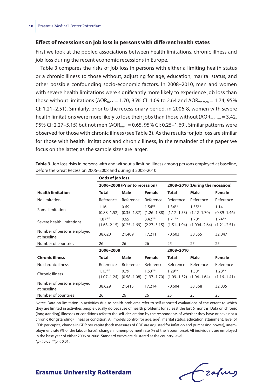#### **Effect of recessions on job loss in persons with different health states**

First we look at the pooled associations between health limitations, chronic illness and job loss during the recent economic recessions in Europe.

Table 3 compares the risks of job loss in persons with either a limiting health status or a chronic illness to those without, adjusting for age, education, marital status, and other possible confounding socio-economic factors. In 2008–2010, men and women with severe health limitations were significantly more likely to experience job loss than those without limitations (AOR<sub>men</sub> = 1.70, 95% CI: 1.09 to 2.64 and AOR<sub>women</sub> = 1.74, 95% CI: 1.21–2.51). Similarly, prior to the recessionary period, in 2006-8, women with severe health limitations were more likely to lose their jobs than those without (AOR<sub>women</sub> = 3.42, 95% CI: 2.27-5.15) but not men (AOR<sub>men</sub> = 0.65, 95% CI: 0.25-1.69). Similar patterns were observed for those with chronic illness (see Table 3). As the results for job loss are similar for those with health limitations and chronic illness, in the remainder of the paper we focus on the latter, as the sample sizes are larger.

| Odds of job loss                          |                              |                                |                              |                              |                                  |                              |
|-------------------------------------------|------------------------------|--------------------------------|------------------------------|------------------------------|----------------------------------|------------------------------|
|                                           |                              | 2006-2008 (Prior to recession) |                              |                              | 2008-2010 (During the recession) |                              |
| <b>Health limitation</b>                  | Total                        | Male                           | Female                       | Total                        | Male                             | Female                       |
| No limitation                             | Reference                    | Reference                      | Reference                    | Reference                    | Reference                        | Reference                    |
| Some limitation                           | 1.16<br>$(0.88 - 1.52)$      | 0.69<br>$(0.35 - 1.37)$        | $1.54**$<br>$(1.26 - 1.88)$  | $1.34**$<br>$(1.17 - 1.53)$  | $1.55***$<br>$(1.42 - 1.70)$     | 1.14<br>$(0.89 - 1.46)$      |
| Severe health limitations                 | $1.87**$<br>$(1.63 - 2.15)$  | 0.65<br>$(0.25 - 1.69)$        | $3.42**$<br>$(2.27 - 5.15)$  | $1.71***$<br>$(1.51 - 1.94)$ | $1.70*$<br>$(1.094 - 2.64)$      | $1.74***$<br>$(1.21 - 2.51)$ |
| Number of persons employed<br>at baseline | 38,620                       | 21,409                         | 17,211                       | 70,603                       | 38,555                           | 32,047                       |
| Number of countries                       | 26                           | 26                             | 26                           | 25                           | 25                               | 25                           |
|                                           | 2006-2008                    |                                |                              | 2008-2010                    |                                  |                              |
| <b>Chronic illness</b>                    | Total                        | <b>Male</b>                    | Female                       | <b>Total</b>                 | Male                             | Female                       |
| No chronic illness                        | Reference                    | Reference                      | Reference                    | Reference                    | Reference                        | Reference                    |
| Chronic illness                           | $1.15***$<br>$(1.07 - 1.24)$ | 0.79<br>$(0.58 - 1.08)$        | $1.53***$<br>$(1.37 - 1.70)$ | $1.29**$<br>$(1.09 - 1.52)$  | $1.30*$<br>$(1.04 - 1.64)$       | $1.28***$<br>$(1.16 - 1.41)$ |
| Number of persons employed<br>at baseline | 38,629                       | 21,415                         | 17,214                       | 70,604                       | 38,568                           | 32,035                       |
| Number of countries                       | 26                           | 26                             | 26                           | 25                           | 25                               | 25                           |

**Table 3.** Job loss risks in persons with and without a limiting illness among persons employed at baseline, before the Great Recession 2006–2008 and during it 2008–2010

Notes: Data on limitation in activities due to health problems refer to self-reported evaluations of the extent to which they are limited in activities people usually do because of health problems for at least the last 6 months. Data on chronic (longstanding) illnesses or conditions refer to the self-declaration by the respondents of whether they have or have not a chronic (longstanding) illness or condition. All models control for age, age<sup>2</sup>, marital status, education attainment, level of GDP per capita, change in GDP per capita (both measures of GDP are adjusted for inflation and purchasing power), unemployment rate (% of the labour force), change in unemployment rate (% of the labour force). All individuals are employed in the base year of either 2006 or 2008. Standard errors are clustered at the country-level.  $**p* < 0.05$ ,  $***p* < 0.01$ .

## Frafing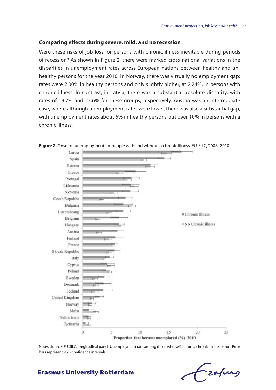#### **Comparing effects during severe, mild, and no recession**

Were these risks of job loss for persons with chronic illness inevitable during periods of recession? As shown in Figure 2, there were marked cross-national variations in the disparities in unemployment rates across European nations between healthy and unhealthy persons for the year 2010. In Norway, there was virtually no employment gap: rates were 2.00% in healthy persons and only slightly higher, at 2.24%, in persons with chronic illness. In contrast, in Latvia, there was a substantial absolute disparity, with rates of 19.7% and 23.6% for these groups, respectively. Austria was an intermediate case, where although unemployment rates were lower, there was also a substantial gap, with unemployment rates about 5% in healthy persons but over 10% in persons with a chronic illness.



**Figure 2.** Onset of unemployment for people with and without a chronic illness, EU-SILC, 2008–2010

Notes: Source: EU-SILC, longitudinal panel. Unemployment rate among those who self-report a chronic illness or not. Error bars represent 95% confidence intervals.

# -zafung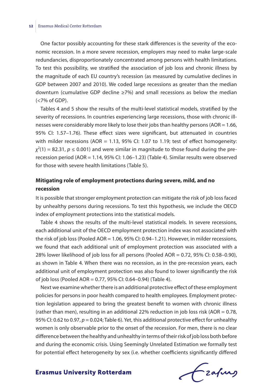One factor possibly accounting for these stark differences is the severity of the economic recession. In a more severe recession, employers may need to make large-scale redundancies, disproportionately concentrated among persons with health limitations. To test this possibility, we stratified the association of job loss and chronic illness by the magnitude of each EU country's recession (as measured by cumulative declines in GDP between 2007 and 2010). We coded large recessions as greater than the median downturn (cumulative GDP decline  $\geq$ 7%) and small recessions as below the median (<7% of GDP).

Tables 4 and 5 show the results of the multi-level statistical models, stratified by the severity of recessions. In countries experiencing large recessions, those with chronic illnesses were considerably more likely to lose their jobs than healthy persons (AOR = 1.66, 95% CI: 1.57–1.76). These effect sizes were significant, but attenuated in countries with milder recessions (AOR = 1.13, 95% CI: 1.07 to 1.19; test of effect homogeneity:  $\chi^2$ (1) = 82.31,  $p \leq$  0.001) and were similar in magnitude to those found during the prerecession period (AOR = 1.14, 95% CI: 1.06–1.23) (Table 4). Similar results were observed for those with severe health limitations (Table 5).

## **Mitigating role of employment protections during severe, mild, and no recession**

It is possible that stronger employment protection can mitigate the risk of job loss faced by unhealthy persons during recessions. To test this hypothesis, we include the OECD index of employment protections into the statistical models.

Table 4 shows the results of the multi-level statistical models. In severe recessions, each additional unit of the OECD employment protection index was not associated with the risk of job loss (Pooled AOR = 1.06, 95% CI: 0.94–1.21). However, in milder recessions, we found that each additional unit of employment protection was associated with a 28% lower likelihood of job loss for all persons (Pooled AOR = 0.72, 95% CI: 0.58–0.90), as shown in Table 4. When there was no recession, as in the pre-recession years, each additional unit of employment protection was also found to lower significantly the risk of job loss (Pooled AOR = 0.77, 95% CI: 0.64–0.94) (Table 4).

Next we examine whether there is an additional protective effect of these employment policies for persons in poor health compared to health employees. Employment protection legislation appeared to bring the greatest benefit to women with chronic illness (rather than men), resulting in an additional 22% reduction in job loss risk (AOR = 0.78, 95% CI: 0.62 to 0.97, *p* = 0.024; Table 6). Yet, this additional protective effect for unhealthy women is only observable prior to the onset of the recession. For men, there is no clear difference between the healthy and unhealthy in terms of their risk of job loss both before and during the economic crisis. Using Seemingly Unrelated Estimation we formally test for potential effect heterogeneity by sex (i.e. whether coefficients significantly differed

frafing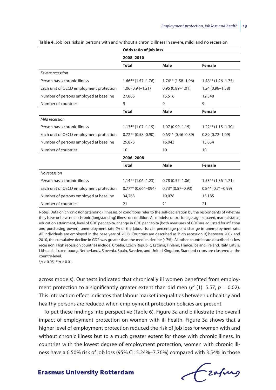|                                         | <b>Odds ratio of job loss</b> |                       |                       |  |  |  |
|-----------------------------------------|-------------------------------|-----------------------|-----------------------|--|--|--|
|                                         | 2008-2010                     |                       |                       |  |  |  |
|                                         | Total                         | Male                  | Female                |  |  |  |
| Severe recession                        |                               |                       |                       |  |  |  |
| Person has a chronic illness            | $1.66***(1.57-1.76)$          | $1.76***$ (1.58-1.96) | $1.48**$ (1.26-1.75)  |  |  |  |
| Each unit of OECD employment protection | $1.06(0.94 - 1.21)$           | $0.95(0.89 - 1.01)$   | $1.24(0.98 - 1.58)$   |  |  |  |
| Number of persons employed at baseline  | 27,865                        | 15,516                | 12,348                |  |  |  |
| Number of countries                     | 9                             | 9                     | 9                     |  |  |  |
|                                         | <b>Total</b>                  | Male                  | Female                |  |  |  |
| Mild recession                          |                               |                       |                       |  |  |  |
| Person has a chronic illness            | $1.13***(1.07-1.19)$          | $1.07(0.99 - 1.15)$   | $1.22***(1.15-1.30)$  |  |  |  |
| Each unit of OECD employment protection | $0.72**$ (0.58-0.90)          | $0.63**$ (0.46-0.89)  | $0.89(0.72 - 1.09)$   |  |  |  |
| Number of persons employed at baseline  | 29,875                        | 16,043                | 13,834                |  |  |  |
| Number of countries                     | 10                            | 10                    | 10                    |  |  |  |
|                                         | 2006-2008                     |                       |                       |  |  |  |
|                                         | <b>Total</b>                  | Male                  | Female                |  |  |  |
| No recession                            |                               |                       |                       |  |  |  |
| Person has a chronic illness            | $1.14***(1.06-1.23)$          | $0.78(0.57 - 1.06)$   | $1.53***(1.36-1.71)$  |  |  |  |
| Each unit of OECD employment protection | $0.77***$ (0.664-094)         | $0.73*(0.57-0.93)$    | $0.84* (0.71 - 0.99)$ |  |  |  |
| Number of persons employed at baseline  | 34,263                        | 19,078                | 15,185                |  |  |  |
| Number of countries                     | 21                            | 21                    | 21                    |  |  |  |

**Table 4.** Job loss risks in persons with and without a chronic illness in severe, mild, and no recession

Notes: Data on chronic (longstanding) illnesses or conditions refer to the self-declaration by the respondents of whether they have or have not a chronic (longstanding) illness or condition. All models control for age, age-squared, marital status, education attainment, level of GDP per capita, change in GDP per capita (both measures of GDP are adjusted for inflation and purchasing power), unemployment rate (% of the labour force), percentage point change in unemployment rate. All individuals are employed in the base year of 2008. Countries are described as 'high recession' if, between 2007 and 2010, the cumulative decline in GDP was greater than the median decline (~7%). All other countries are described as low recession. High recession countries include: Croatia, Czech Republic, Estonia, Finland, France, Iceland, Ireland, Italy, Latvia, Lithuania, Luxembourg, Netherlands, Slovenia, Spain, Sweden, and United Kingdom. Standard errors are clustered at the country-level.

\**p* < 0.05, \*\**p* < 0.01.

across models). Our tests indicated that chronically ill women benefited from employment protection to a significantly greater extent than did men  $(\chi^2(1))$ : 5.57,  $p = 0.02$ ). This interaction effect indicates that labour market inequalities between unhealthy and healthy persons are reduced when employment protection policies are present.

To put these findings into perspective (Table 6), Figure 3a and b illustrate the overall impact of employment protection on women with ill health. Figure 3a shows that a higher level of employment protection reduced the risk of job loss for women with and without chronic illness but to a much greater extent for those with chronic illness. In countries with the lowest degree of employment protection, women with chronic illness have a 6.50% risk of job loss (95% CI: 5.24%–7.76%) compared with 3.54% in those

fzafurg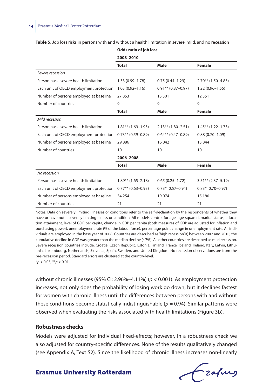|                                         | <b>Odds ratio of job loss</b> |                      |                        |  |  |
|-----------------------------------------|-------------------------------|----------------------|------------------------|--|--|
|                                         | 2008-2010                     |                      |                        |  |  |
|                                         | <b>Total</b>                  | Male                 | Female                 |  |  |
| Severe recession                        |                               |                      |                        |  |  |
| Person has a severe health limitation   | 1.33 (0.99-1.78)              | $0.75(0.44 - 1.29)$  | $2.70**$ (1.50-4.85)   |  |  |
| Each unit of OECD employment protection | $1.03(0.92 - 1.16)$           | $0.91**$ (0.87-0.97) | $1.22(0.96 - 1.55)$    |  |  |
| Number of persons employed at baseline  | 27,853                        | 15,501               | 12,351                 |  |  |
| Number of countries                     | 9                             | 9                    | 9                      |  |  |
|                                         | <b>Total</b>                  | Male                 | Female                 |  |  |
| Mild recession                          |                               |                      |                        |  |  |
| Person has a severe health limitation   | $1.81***$ (1.69–1.95)         | $2.13**$ (1.80-2.51) | $1.45***$ (1.22-1.73)  |  |  |
| Each unit of OECD employment protection | $0.73**$ (0.59-0.89)          | $0.64**$ (0.47-0.89) | $0.88(0.70 - 1.09)$    |  |  |
| Number of persons employed at baseline  | 29,886                        | 16,042               | 13,844                 |  |  |
| Number of countries                     | 10                            | 10                   | 10                     |  |  |
|                                         | 2006-2008                     |                      |                        |  |  |
|                                         | <b>Total</b>                  | Male                 | <b>Female</b>          |  |  |
| No recession                            |                               |                      |                        |  |  |
| Person has a severe health limitation   | $1.89***$ (1.65–2.18)         | $0.65(0.25 - 1.72)$  | $3.51** (2.37 - 5.19)$ |  |  |
| Each unit of OECD employment protection | $0.77**$ (0.63-0.93)          | $0.73*(0.57-0.94)$   | $0.83*(0.70-0.97)$     |  |  |
| Number of persons employed at baseline  | 34,254                        | 19,074               | 15,180                 |  |  |
| Number of countries                     | 21                            | 21                   | 21                     |  |  |

**Table 5.** Job loss risks in persons with and without a health limitation in severe, mild, and no recession

Notes: Data on severely limiting illnesses or conditions refer to the self-declaration by the respondents of whether they have or have not a severely limiting illness or condition. All models control for age, age-squared, marital status, education attainment, level of GDP per capita, change in GDP per capita (both measures of GDP are adjusted for inflation and purchasing power), unemployment rate (% of the labour force), percentage point change in unemployment rate. All individuals are employed in the base year of 2008. Countries are described as 'high recession' if, between 2007 and 2010, the cumulative decline in GDP was greater than the median decline (~7%). All other countries are described as mild recession. Severe recession countries include: Croatia, Czech Republic, Estonia, Finland, France, Iceland, Ireland, Italy, Latvia, Lithuania, Luxembourg, Netherlands, Slovenia, Spain, Sweden, and United Kingdom. No recession observations are from the pre-recession period. Standard errors are clustered at the country-level. \**p* < 0.05, \*\**p* < 0.01.

without chronic illnesses (95% CI: 2.96%–4.11%) (*p* < 0.001). As employment protection increases, not only does the probability of losing work go down, but it declines fastest for women with chronic illness until the differences between persons with and without these conditions become statistically indistinguishable ( $p = 0.94$ ). Similar patterns were observed when evaluating the risks associated with health limitations (Figure 3b).

#### **Robustness checks**

Models were adjusted for individual fixed-effects; however, in a robustness check we also adjusted for country-specific differences. None of the results qualitatively changed (see Appendix A, Text S2). Since the likelihood of chronic illness increases non-linearly

Frahing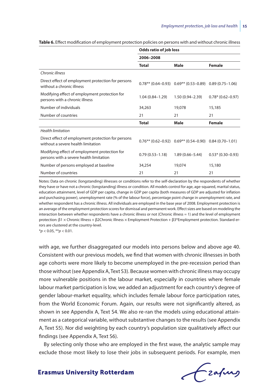|                                                                                          | Odds ratio of job loss |                                                            |                      |  |  |  |
|------------------------------------------------------------------------------------------|------------------------|------------------------------------------------------------|----------------------|--|--|--|
|                                                                                          | 2006-2008              |                                                            |                      |  |  |  |
|                                                                                          | <b>Total</b>           | Male                                                       | Female               |  |  |  |
| Chronic illness                                                                          |                        |                                                            |                      |  |  |  |
| Direct effect of employment protection for persons<br>without a chronic illness          |                        | $0.78**$ (0.64-0.93) $0.69**$ (0.53-0.89) 0.89 (0.75-1.06) |                      |  |  |  |
| Modifying effect of employment protection for<br>persons with a chronic illness          | $1.04(0.84 - 1.29)$    | $1.50(0.94 - 2.39)$                                        | $0.78*(0.62 - 0.97)$ |  |  |  |
| Number of individuals                                                                    | 34,263                 | 19,078                                                     | 15,185               |  |  |  |
| Number of countries                                                                      | 21                     | 21                                                         | 21                   |  |  |  |
|                                                                                          | <b>Total</b>           | Male                                                       | Female               |  |  |  |
| <b>Health limitation</b>                                                                 |                        |                                                            |                      |  |  |  |
| Direct effect of employment protection for persons<br>without a severe health limitation |                        | $0.76**$ (0.62-0.92) $0.69**$ (0.54-0.90) 0.84 (0.70-1.01) |                      |  |  |  |
| Modifying effect of employment protection for<br>persons with a severe health limitation | $0.79(0.53 - 1.18)$    | $1.89(0.66 - 5.44)$                                        | $0.53*(0.30-0.93)$   |  |  |  |
| Number of persons employed at baseline                                                   | 34,254                 | 19,074                                                     | 15,180               |  |  |  |
| Number of countries                                                                      | 21                     | 21                                                         | 21                   |  |  |  |

**Table 6.** Effect modification of employment protection policies on persons with and without chronic illness

Notes: Data on chronic (longstanding) illnesses or conditions refer to the self-declaration by the respondents of whether they have or have not a chronic (longstanding) illness or condition. All models control for age, age-squared, marital status, education attainment, level of GDP per capita, change in GDP per capita (both measures of GDP are adjusted for inflation and purchasing power), unemployment rate (% of the labour force), percentage point change in unemployment rate, and whether respondent has a chronic illness. All individuals are employed in the base year of 2008. Employment protection is an average of the employment protection scores for dismissal and permanent work. Effect sizes are based on modeling the interaction between whether respondents have a chronic illness or not (Chronic illness = 1) and the level of employment protection: β1 × Chronic Illness + β2Chronic Illness × Employment Protection + β3\*Employment protection. Standard errors are clustered at the country-level.

\**p* < 0.05, \*\**p* < 0.01.

with age, we further disaggregated our models into persons below and above age 40. Consistent with our previous models, we find that women with chronic illnesses in both age cohorts were more likely to become unemployed in the pre-recession period than those without (see Appendix A, Text S3). Because women with chronic illness may occupy more vulnerable positions in the labour market, especially in countries where female labour market participation is low, we added an adjustment for each country's degree of gender labour-market equality, which includes female labour force participation rates, from the World Economic Forum. Again, our results were not significantly altered, as shown in see Appendix A, Text S4. We also re-ran the models using educational attainment as a categorical variable, without substantive changes to the results (see Appendix A, Text S5). Nor did weighting by each country's population size qualitatively affect our findings (see Appendix A, Text S6).

By selecting only those who are employed in the first wave, the analytic sample may exclude those most likely to lose their jobs in subsequent periods. For example, men

Frafing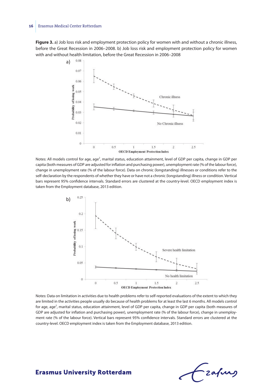#### **16** Erasmus Medical Center Rotterdam

**Figure 3.** a) Job loss risk and employment protection policy for women with and without a chronic illness, before the Great Recession in 2006–2008. b) Job loss risk and employment protection policy for women with and without health limitation, before the Great Recession in 2006–2008



b) self-declaration by the respondents of whether they have or have not a chronic (longstanding) illness or condition. Vertical Notes: All models control for age, age<sup>2</sup>, marital status, education attainment, level of GDP per capita, change in GDP per capita (both measures of GDP are adjusted for inflation and purchasing power), unemployment rate (% of the labour force), change in unemployment rate (% of the labour force). Data on chronic (longstanding) illnesses or conditions refer to the bars represent 95% confidence intervals. Standard errors are clustered at the country-level. OECD employment index is taken from the Employment database, 2013 edition.



Notes: Data on limitation in activities due to health problems refer to self-reported evaluations of the extent to which they are limited in the activities people usually do because of health problems for at least the last 6 months. All models control for age, age<sup>2</sup>, marital status, education attainment, level of GDP per capita, change in GDP per capita (both measures of GDP are adjusted for inflation and purchasing power), unemployment rate (% of the labour force), change in unemployment rate (% of the labour force). Vertical bars represent 95% confidence intervals. Standard errors are clustered at the country-level. OECD employment index is taken from the Employment database, 2013 edition.

-zafurs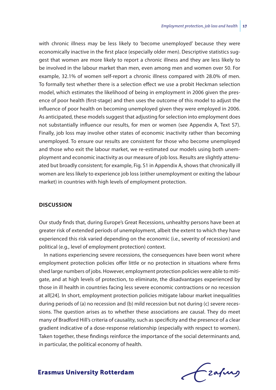with chronic illness may be less likely to 'become unemployed' because they were economically inactive in the first place (especially older men). Descriptive statistics suggest that women are more likely to report a chronic illness and they are less likely to be involved in the labour market than men, even among men and women over 50. For example, 32.1% of women self-report a chronic illness compared with 28.0% of men. To formally test whether there is a selection effect we use a probit Heckman selection model, which estimates the likelihood of being in employment in 2006 given the presence of poor health (first-stage) and then uses the outcome of this model to adjust the influence of poor health on becoming unemployed given they were employed in 2006. As anticipated, these models suggest that adjusting for selection into employment does not substantially influence our results, for men or women (see Appendix A, Text S7). Finally, job loss may involve other states of economic inactivity rather than becoming unemployed. To ensure our results are consistent for those who become unemployed and those who exit the labour market, we re-estimated our models using both unemployment and economic inactivity as our measure of job loss. Results are slightly attenuated but broadly consistent; for example, Fig. S1 in Appendix A, shows that chronically ill women are less likely to experience job loss (either unemployment or exiting the labour market) in countries with high levels of employment protection.

#### **Discussion**

Our study finds that, during Europe's Great Recessions, unhealthy persons have been at greater risk of extended periods of unemployment, albeit the extent to which they have experienced this risk varied depending on the economic (i.e., severity of recession) and political (e.g., level of employment protection) context.

In nations experiencing severe recessions, the consequences have been worst where employment protection policies offer little or no protection in situations where firms shed large numbers of jobs. However, employment protection policies were able to mitigate, and at high levels of protection, to eliminate, the disadvantages experienced by those in ill health in countries facing less severe economic contractions or no recession at all[24]. In short, employment protection policies mitigate labour market inequalities during periods of (a) no recession and (b) mild recession but not during (c) severe recessions. The question arises as to whether these associations are causal. They do meet many of Bradford Hill's criteria of causality, such as specificity and the presence of a clear gradient indicative of a dose-response relationship (especially with respect to women). Taken together, these findings reinforce the importance of the social determinants and, in particular, the political economy of health.

frafing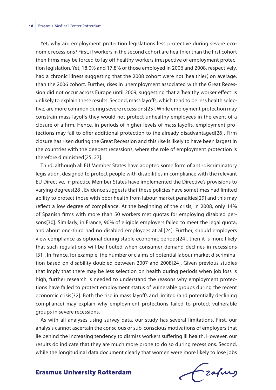Yet, why are employment protection legislations less protective during severe economic recessions? First, if workers in the second cohort are healthier than the first cohort then firms may be forced to lay off healthy workers irrespective of employment protection legislation. Yet, 18.0% and 17.8% of those employed in 2006 and 2008, respectively, had a chronic illness suggesting that the 2008 cohort were not 'healthier', on average, than the 2006 cohort. Further, rises in unemployment associated with the Great Recession did not occur across Europe until 2009, suggesting that a 'healthy worker effect' is unlikely to explain these results. Second, mass layoffs, which tend to be less health selective, are more common during severe recessions[25]. While employment protection may constrain mass layoffs they would not protect unhealthy employees in the event of a closure of a firm. Hence, in periods of higher levels of mass layoffs, employment protections may fail to offer additional protection to the already disadvantaged[26]. Firm closure has risen during the Great Recession and this rise is likely to have been largest in the countries with the deepest recessions, where the role of employment protection is therefore diminished[25, 27].

Third, although all EU Member States have adopted some form of anti-discriminatory legislation, designed to protect people with disabilities in compliance with the relevant EU Directive, in practice Member States have implemented the Directive's provisions to varying degrees[28]. Evidence suggests that these policies have sometimes had limited ability to protect those with poor health from labour market penalties[29] and this may reflect a low degree of compliance. At the beginning of the crisis, in 2008, only 14% of Spanish firms with more than 50 workers met quotas for employing disabled persons[30]. Similarly, in France, 90% of eligible employers failed to meet the legal quota, and about one-third had no disabled employees at all[24]. Further, should employers view compliance as optional during stable economic periods[24], then it is more likely that such regulations will be flouted when consumer demand declines in recessions [31]. In France, for example, the number of claims of potential labour market discrimination based on disability doubled between 2007 and 2008[24]. Given previous studies that imply that there may be less selection on health during periods when job loss is high, further research is needed to understand the reasons why employment protections have failed to protect employment status of vulnerable groups during the recent economic crisis[32]. Both the rise in mass layoffs and limited (and potentially declining compliance) may explain why employment protections failed to protect vulnerable groups in severe recessions.

As with all analyses using survey data, our study has several limitations. First, our analysis cannot ascertain the conscious or sub-conscious motivations of employers that lie behind the increasing tendency to dismiss workers suffering ill health. However, our results do indicate that they are much more prone to do so during recessions. Second, while the longitudinal data document clearly that women were more likely to lose jobs

Frahing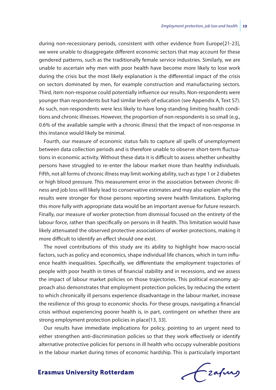during non-recessionary periods, consistent with other evidence from Europe[21-23], we were unable to disaggregate different economic sectors that may account for these gendered patterns, such as the traditionally female service industries. Similarly, we are unable to ascertain why men with poor health have become more likely to lose work during the crisis but the most likely explanation is the differential impact of the crisis on sectors dominated by men, for example construction and manufacturing sectors. Third, item non-response could potentially influence our results. Non-respondents were younger than respondents but had similar levels of education (see Appendix A, Text S7). As such, non-respondents were less likely to have long-standing limiting health conditions and chronic illnesses. However, the proportion of non-respondents is so small (e.g., 0.6% of the available sample with a chronic illness) that the impact of non-response in this instance would likely be minimal.

Fourth, our measure of economic status fails to capture all spells of unemployment between data collection periods and is therefore unable to observe short-term fluctuations in economic activity. Without these data it is difficult to assess whether unhealthy persons have struggled to re-enter the labour market more than healthy individuals. Fifth, not all forms of chronic illness may limit working ability, such as type 1 or 2 diabetes or high blood pressure. This measurement error in the association between chronic illness and job loss will likely lead to conservative estimates and may also explain why the results were stronger for those persons reporting severe health limitations. Exploring this more fully with appropriate data would be an important avenue for future research. Finally, our measure of worker protection from dismissal focused on the entirety of the labour force, rather than specifically on persons in ill health. This limitation would have likely attenuated the observed protective associations of worker protections, making it more difficult to identify an effect should one exist.

The novel contributions of this study are its ability to highlight how macro-social factors, such as policy and economics, shape individual life chances, which in turn influence health inequalities. Specifically, we differentiate the employment trajectories of people with poor health in times of financial stability and in recessions, and we assess the impact of labour market policies on those trajectories. This political economy approach also demonstrates that employment protection policies, by reducing the extent to which chronically ill persons experience disadvantage in the labour market, increase the resilience of this group to economic shocks. For these groups, navigating a financial crisis without experiencing poorer health is, in part, contingent on whether there are strong employment protection policies in place[13, 33].

Our results have immediate implications for policy, pointing to an urgent need to either strengthen anti-discrimination policies so that they work effectively or identify alternative protective policies for persons in ill health who occupy vulnerable positions in the labour market during times of economic hardship. This is particularly important

frafing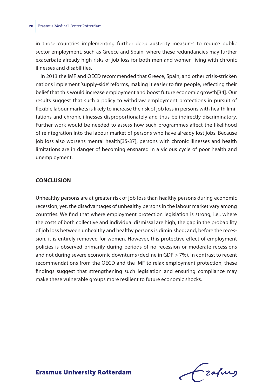in those countries implementing further deep austerity measures to reduce public sector employment, such as Greece and Spain, where these redundancies may further exacerbate already high risks of job loss for both men and women living with chronic illnesses and disabilities.

In 2013 the IMF and OECD recommended that Greece, Spain, and other crisis-stricken nations implement 'supply-side' reforms, making it easier to fire people, reflecting their belief that this would increase employment and boost future economic growth[34]. Our results suggest that such a policy to withdraw employment protections in pursuit of flexible labour markets is likely to increase the risk of job loss in persons with health limitations and chronic illnesses disproportionately and thus be indirectly discriminatory. Further work would be needed to assess how such programmes affect the likelihood of reintegration into the labour market of persons who have already lost jobs. Because job loss also worsens mental health[35-37], persons with chronic illnesses and health limitations are in danger of becoming ensnared in a vicious cycle of poor health and unemployment.

#### **Conclusion**

Unhealthy persons are at greater risk of job loss than healthy persons during economic recession; yet, the disadvantages of unhealthy persons in the labour market vary among countries. We find that where employment protection legislation is strong, i.e., where the costs of both collective and individual dismissal are high, the gap in the probability of job loss between unhealthy and healthy persons is diminished; and, before the recession, it is entirely removed for women. However, this protective effect of employment policies is observed primarily during periods of no recession or moderate recessions and not during severe economic downturns (decline in GDP > 7%). In contrast to recent recommendations from the OECD and the IMF to relax employment protection, these findings suggest that strengthening such legislation and ensuring compliance may make these vulnerable groups more resilient to future economic shocks.

Frahing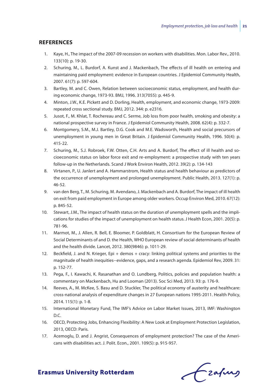#### **References**

- 1. Kaye, H., The impact of the 2007-09 recession on workers with disabilities. Mon. Labor Rev., 2010. 133(10): p. 19-30.
- 2. Schuring, M., L. Burdorf, A. Kunst and J. Mackenbach, The effects of ill health on entering and maintaining paid employment: evidence in European countries. J Epidemiol Community Health, 2007. 61(7): p. 597-604.
- 3. Bartley, M. and C. Owen, Relation between socioeconomic status, employment, and health during economic change, 1973-93. BMJ, 1996. 313(7055): p. 445-9.
- 4. Minton, J.W., K.E. Pickett and D. Dorling, Health, employment, and economic change, 1973-2009: repeated cross sectional study. BMJ, 2012. 344: p. e2316.
- 5. Jusot, F., M. Khlat, T. Rochereau and C. Serme, Job loss from poor health, smoking and obesity: a national prospective survey in France. J Epidemiol Community Health, 2008. 62(4): p. 332-7.
- 6. Montgomery, S.M., M.J. Bartley, D.G. Cook and M.E. Wadsworth, Health and social precursors of unemployment in young men in Great Britain. J Epidemiol Community Health, 1996. 50(4): p. 415-22.
- 7. Schuring, M., S.J. Robroek, F.W. Otten, C.H. Arts and A. Burdorf, The effect of ill health and socioeconomic status on labor force exit and re-employment: a prospective study with ten years follow-up in the Netherlands. Scand J Work Environ Health, 2012. 39(2): p. 134-143
- 8. Virtanen, P., U. Janlert and A. Hammarstrom, Health status and health behaviour as predictors of the occurrence of unemployment and prolonged unemployment. Public Health, 2013. 127(1): p. 46-52.
- 9. van den Berg, T., M. Schuring, M. Avendano, J. Mackenbach and A. Burdorf, The impact of ill health on exit from paid employment in Europe among older workers. Occup Environ Med, 2010. 67(12): p. 845-52.
- 10. Stewart, J.M., The impact of health status on the duration of unemployment spells and the implications for studies of the impact of unemployment on health status. J Health Econ, 2001. 20(5): p. 781-96.
- 11. Marmot, M., J. Allen, R. Bell, E. Bloomer, P. Goldblatt, H. Consortium for the European Review of Social Determinants of and D. the Health, WHO European review of social determinants of health and the health divide. Lancet, 2012. 380(9846): p. 1011-29.
- 12. Beckfield, J. and N. Krieger, Epi + demos + cracy: linking political systems and priorities to the magnitude of health inequities--evidence, gaps, and a research agenda. Epidemiol Rev, 2009. 31: p. 152-77.
- 13. Pega, F., I. Kawachi, K. Rasanathan and O. Lundberg, Politics, policies and population health: a commentary on Mackenbach, Hu and Looman (2013). Soc Sci Med, 2013. 93: p. 176-9.
- 14. Reeves, A., M. McKee, S. Basu and D. Stuckler, The political economy of austerity and healthcare: cross-national analysis of expenditure changes in 27 European nations 1995-2011. Health Policy, 2014. 115(1): p. 1-8.
- 15. International Monetary Fund, The IMF's Advice on Labor Market Issues, 2013, IMF: Washington D.C.
- 16. OECD, Protecting Jobs, Enhancing Flexibility: A New Look at Employment Protection Legislation, 2013, OECD: Paris.
- 17. Acemoglu, D. and J. Angrist, Consequences of employment protection? The case of the Americans with disabilities act. J. Polit. Econ., 2001. 109(5): p. 915-957.

Czafung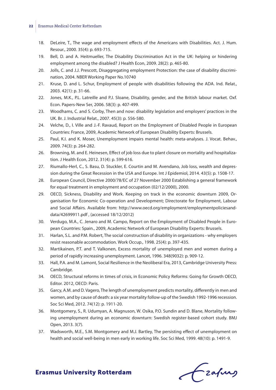#### **22** Erasmus Medical Center Rotterdam

- 18. DeLeire, T., The wage and employment effects of the Americans with Disabilities. Act. J. Hum. Resour., 2000. 35(4): p. 693-715.
- 19. Bell, D. and A. Heitmueller, The Disability Discrimination Act in the UK: helping or hindering employment among the disabled? J Health Econ, 2009. 28(2): p. 465-80.
- 20. Jolls, C. and J.J. Prescott, Disaggregating employment Protection: the case of disability discrimination, 2004. NBER Working Paper No.10740
- 21. Kruse, D. and L. Schur, Employment of people with disabilities following the ADA. Ind. Relat., 2003. 42(1): p. 31-66.
- 22. Jones, M.K., P.L. Latreille and P.J. Sloane, Disability, gender, and the British labour market. Oxf. Econ. Papers-New Ser, 2006. 58(3): p. 407-499.
- 23. Woodhams, C. and S. Corby, Then and now: disability legislation and employers' practices in the UK. Br. J. Industrial Relat., 2007. 45(3): p. 556-580.
- 24. Velche, D., I. Ville and J.-F. Ravaud, Report on the Employment of Disabled People in European Countries: France, 2009, Academic Network of European Disability Experts: Brussels.
- 25. Paul, K.I. and K. Moser, Unemployment impairs mental health: meta-analyses. J. Vocat. Behav., 2009. 74(3): p. 264-282.
- 26. Browning, M. and E. Heinesen, Effect of job loss due to plant closure on mortality and hospitalization. J Health Econ, 2012. 31(4): p. 599-616.
- 27. Riumallo-Herl, C., S. Basu, D. Stuckler, E. Courtin and M. Avendano, Job loss, wealth and depression during the Great Recession in the USA and Europe. Int J Epidemiol, 2014. 43(5): p. 1508-17.
- 28. European Council, Directive 2000/78/EC of 27 November 2000 Establishing a general framework for equal treatment in employment and occupation (02/12/2000), 2000.
- 29. OECD, Sickness, Disability and Work. Keeping on track in the economic downturn 2009, Organisation for Economic Co-operation and Development; Directorate for Employment, Labour and Social Affairs. Available from: http://www.oecd.org/employment/employmentpoliciesanddata/42699911.pdf , (accessed 18/12/2012)
- 30. Verdugo, M.A., C. Jenaro and M. Campo, Report on the Employment of Disabled People in European Countries: Spain., 2009, Academic Network of European Disability Experts: Brussels.
- 31. Harlan, S.L. and P.M. Robert, The social construction of disability in organizations why employers resist reasonable accommodation. Work Occup., 1998. 25(4): p. 397-435.
- 32. Martikainen, P.T. and T. Valkonen, Excess mortality of unemployed men and women during a period of rapidly increasing unemployment. Lancet, 1996. 348(9032): p. 909-12.
- 33. Hall, P.A. and M. Lamont, Social Resilience in the Neoliberal Era, 2013, Cambridge University Press: Cambridge.
- 34. OECD, Structural reforms in times of crisis, in Economic Policy Reforms: Going for Growth OECD, Editor. 2012, OECD: Paris.
- 35. Garcy, A.M. and D. Vagero, The length of unemployment predicts mortality, differently in men and women, and by cause of death: a six year mortality follow-up of the Swedish 1992-1996 recession. Soc Sci Med, 2012. 74(12): p. 1911-20.
- 36. Montgomery, S., R. Udumyan, A. Magnuson, W. Osika, P.O. Sundin and D. Blane, Mortality following unemployment during an economic downturn: Swedish register-based cohort study. BMJ Open, 2013. 3(7).
- 37. Wadsworth, M.E., S.M. Montgomery and M.J. Bartley, The persisting effect of unemployment on health and social well-being in men early in working life. Soc Sci Med, 1999. 48(10): p. 1491-9.

Frafing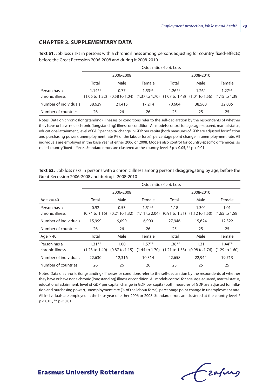#### **Chapter 3. Supplementary data**

|                       |           | Odds ratio of Job Loss |                                                                                                                                                             |           |           |          |  |  |
|-----------------------|-----------|------------------------|-------------------------------------------------------------------------------------------------------------------------------------------------------------|-----------|-----------|----------|--|--|
|                       |           | 2006-2008              |                                                                                                                                                             |           | 2008-2010 |          |  |  |
|                       | Total     | Male                   | Female                                                                                                                                                      | Total     | Male      | Female   |  |  |
| Person has a          | $1.14***$ | 0.77                   | $1.53***$                                                                                                                                                   | $1.26***$ | $1.26*$   | $1.27**$ |  |  |
| chronic illness       |           |                        | $(1.06 \text{ to } 1.22)$ $(0.58 \text{ to } 1.04)$ $(1.37 \text{ to } 1.70)$ $(1.07 \text{ to } 1.48)$ $(1.01 \text{ to } 1.56)$ $(1.15 \text{ to } 1.39)$ |           |           |          |  |  |
| Number of individuals | 38,629    | 21,415                 | 17,214                                                                                                                                                      | 70,604    | 38,568    | 32,035   |  |  |
| Number of countries   | 26        | 26                     | 26                                                                                                                                                          | 25        | 25        | 25       |  |  |

**Text S1.** Job loss risks in persons with a chronic illness among persons adjusting for country 'fixed-effects', before the Great Recession 2006-2008 and during it 2008-2010

Notes: Data on chronic (longstanding) illnesses or conditions refer to the self-declaration by the respondents of whether they have or have not a chronic (longstanding) illness or condition. All models control for age, age-squared, marital status, educational attainment, level of GDP per capita, change in GDP per capita (both measures of GDP are adjusted for inflation and purchasing power), unemployment rate (% of the labour force), percentage point change in unemployment rate. All individuals are employed in the base year of either 2006 or 2008. Models also control for country-specific differences, so called country 'fixed-effects'. Standard errors are clustered at the country-level.  $* p < 0.05$ ,  $** p < 0.01$ 

|                       |                           | Odds ratio of Job Loss    |                           |                           |                           |                           |  |  |
|-----------------------|---------------------------|---------------------------|---------------------------|---------------------------|---------------------------|---------------------------|--|--|
|                       |                           | 2006-2008                 |                           |                           | 2008-2010                 |                           |  |  |
| Age $<=$ 40           | Total                     | Male                      | Female                    | Total                     | Male                      | Female                    |  |  |
| Person has a          | 0.92                      | 0.53                      | $1.51***$                 | 1.18                      | $1.30*$                   | 1.01                      |  |  |
| chronic illness       | $(0.74 \text{ to } 1.16)$ | $(0.21 \text{ to } 1.32)$ | $(1.11$ to 2.04)          | $(0.91 \text{ to } 1.51)$ | $(1.12 \text{ to } 1.50)$ | $(1.65 \text{ to } 1.58)$ |  |  |
| Number of individuals | 15,999                    | 9,099                     | 6,900                     | 27,946                    | 15,624                    | 12,322                    |  |  |
| Number of countries   | 26                        | 26                        | 26                        | 25                        | 25                        | 25                        |  |  |
| Age > 40              | Total                     | Male                      | Female                    | Total                     | Male                      | Female                    |  |  |
| Person has a          | $1.31**$                  | 1.00                      | $1.57**$                  | $1.36***$                 | 1.31                      | $1.44***$                 |  |  |
| chronic illness       | $(1.23 \text{ to } 1.40)$ | $(0.87 \text{ to } 1.15)$ | $(1.44 \text{ to } 1.70)$ | $(1.21 \text{ to } 1.53)$ | $(0.98 \text{ to } 1.76)$ | $(1.29 \text{ to } 1.60)$ |  |  |
| Number of individuals | 22,630                    | 12,316                    | 10,314                    | 42,658                    | 22,944                    | 19,713                    |  |  |
| Number of countries   | 26                        | 26                        | 26                        | 25                        | 25                        | 25                        |  |  |

**Text S2.** Job loss risks in persons with a chronic illness among persons disaggregating by age, before the Great Recession 2006-2008 and during it 2008-2010

Notes: Data on chronic (longstanding) illnesses or conditions refer to the self-declaration by the respondents of whether they have or have not a chronic (longstanding) illness or condition. All models control for age, age-squared, marital status, educational attainment, level of GDP per capita, change in GDP per capita (both measures of GDP are adjusted for inflation and purchasing power), unemployment rate (% of the labour force), percentage point change in unemployment rate. All individuals are employed in the base year of either 2006 or 2008. Standard errors are clustered at the country-level. \*  $p < 0.05$ , \*\*  $p < 0.01$ 

frafing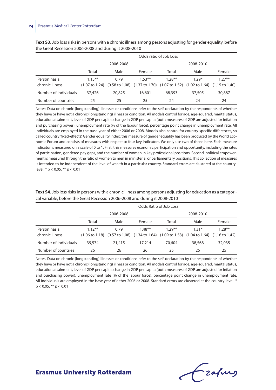|                       |           | Odds ratio of Job Loss |                                                                                                                                                             |          |           |          |  |  |
|-----------------------|-----------|------------------------|-------------------------------------------------------------------------------------------------------------------------------------------------------------|----------|-----------|----------|--|--|
|                       |           | 2006-2008              |                                                                                                                                                             |          | 2008-2010 |          |  |  |
|                       | Total     | Male                   | Female                                                                                                                                                      | Total    | Male      | Female   |  |  |
| Person has a          | $1.15***$ | 0.79                   | $1.53***$                                                                                                                                                   | $1.28**$ | $1.29*$   | $1.27**$ |  |  |
| chronic illness       |           |                        | $(1.07 \text{ to } 1.24)$ $(0.58 \text{ to } 1.08)$ $(1.37 \text{ to } 1.70)$ $(1.07 \text{ to } 1.52)$ $(1.02 \text{ to } 1.64)$ $(1.15 \text{ to } 1.40)$ |          |           |          |  |  |
| Number of individuals | 37,426    | 20,825                 | 16,601                                                                                                                                                      | 68,393   | 37,505    | 30,887   |  |  |
| Number of countries   | 25        | 25                     | 25                                                                                                                                                          | 24       | 24        | 24       |  |  |

**Text S3.** Job loss risks in persons with a chronic illness among persons adjusting for gender equality, before the Great Recession 2006-2008 and during it 2008-2010

Notes: Data on chronic (longstanding) illnesses or conditions refer to the self-declaration by the respondents of whether they have or have not a chronic (longstanding) illness or condition. All models control for age, age-squared, marital status, education attainment, level of GDP per capita, change in GDP per capita (both measures of GDP are adjusted for inflation and purchasing power), unemployment rate (% of the labour force), percentage point change in unemployment rate. All individuals are employed in the base year of either 2006 or 2008. Models also control for country-specific differences, so called country 'fixed-effects'. Gender equality index: this measure of gender equality has been produced by the World Economic Forum and consists of measures with respect to four key indicators. We only use two of those here. Each measure indicator is measured on a scale of 0 to 1. First, this measures economic participation and opportunity, including the rates of participation, gendered pay gaps, and the number of women in key professional positions. Second, political empowerment is measured through the ratio of women to men in ministerial or parliamentary positions. This collection of measures is intended to be independent of the level of wealth in a particular country. Standard errors are clustered at the countrylevel. \* p < 0.05, \*\* p < 0.01

**Text S4.** Job loss risks in persons with a chronic illness among persons adjusting for education as a categorical variable, before the Great Recession 2006-2008 and during it 2008-2010

|                       |           |           |                                                                                                                                                             | Odds Ratio of Job Loss |           |           |
|-----------------------|-----------|-----------|-------------------------------------------------------------------------------------------------------------------------------------------------------------|------------------------|-----------|-----------|
|                       |           | 2006-2008 |                                                                                                                                                             |                        | 2008-2010 |           |
|                       | Total     | Male      | Female                                                                                                                                                      | Total                  | Male      | Female    |
| Person has a          | $1.12***$ | 0.79      | $1.48**$                                                                                                                                                    | $1.29***$              | $1.31*$   | $1.28***$ |
| chronic illness       |           |           | $(1.06 \text{ to } 1.18)$ $(0.57 \text{ to } 1.08)$ $(1.34 \text{ to } 1.64)$ $(1.09 \text{ to } 1.53)$ $(1.04 \text{ to } 1.64)$ $(1.16 \text{ to } 1.42)$ |                        |           |           |
| Number of individuals | 39,574    | 21,415    | 17,214                                                                                                                                                      | 70,604                 | 38,568    | 32,035    |
| Number of countries   | 26        | 26        | 26                                                                                                                                                          | 25                     | 25        | 25        |

Notes*:* Data on chronic (longstanding) illnesses or conditions refer to the self-declaration by the respondents of whether they have or have not a chronic (longstanding) illness or condition. All models control for age, age-squared, marital status, education attainment, level of GDP per capita, change in GDP per capita (both measures of GDP are adjusted for inflation and purchasing power), unemployment rate (% of the labour force), percentage point change in unemployment rate. All individuals are employed in the base year of either 2006 or 2008. Standard errors are clustered at the country-level. \*  $p < 0.05$ , \*\*  $p < 0.01$ 

fzafung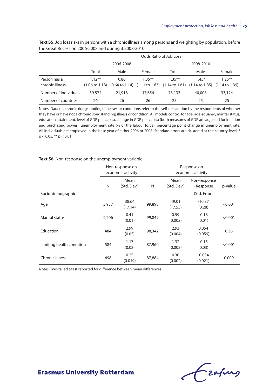|                       | Odds Ratio of Job Loss |           |                                                                                                                                                             |           |         |           |  |  |
|-----------------------|------------------------|-----------|-------------------------------------------------------------------------------------------------------------------------------------------------------------|-----------|---------|-----------|--|--|
|                       |                        | 2006-2008 |                                                                                                                                                             | 2008-2010 |         |           |  |  |
|                       | Total                  | Male      | Female                                                                                                                                                      | Total     | Male    | Female    |  |  |
| Person has a          | $1.12***$              | 0.86      | $1.35***$                                                                                                                                                   | $1.35***$ | $1.45*$ | $1.25***$ |  |  |
| chronic illness       |                        |           | $(1.06 \text{ to } 1.18)$ $(0.64 \text{ to } 1.14)$ $(1.11 \text{ to } 1.63)$ $(1.14 \text{ to } 1.61)$ $(1.14 \text{ to } 1.85)$ $(1.14 \text{ to } 1.39)$ |           |         |           |  |  |
| Number of individuals | 39,574                 | 21,918    | 17,656                                                                                                                                                      | 73,133    | 40,008  | 33,124    |  |  |
| Number of countries   | 26                     | 26        | 26                                                                                                                                                          | 25        | 25      | 25        |  |  |

**Text S5.** Job loss risks in persons with a chronic illness among persons and weighting by population, before the Great Recession 2006-2008 and during it 2008-2010

Notes: Data on chronic (longstanding) illnesses or conditions refer to the self-declaration by the respondents of whether they have or have not a chronic (longstanding) illness or condition. All models control for age, age-squared, marital status, education attainment, level of GDP per capita, change in GDP per capita (both measures of GDP are adjusted for inflation and purchasing power), unemployment rate (% of the labour force), percentage point change in unemployment rate. All individuals are employed in the base year of either 2006 or 2008. Standard errors are clustered at the country-level. \*  $p < 0.05$ , \*\*  $p < 0.01$ 

#### **Text S6.** Non-response on the unemployment variable

|                           | Non-response on<br>economic activity |                     |        | Response on<br>economic activity |                            |         |
|---------------------------|--------------------------------------|---------------------|--------|----------------------------------|----------------------------|---------|
|                           | N                                    | Mean<br>(Std. Dev.) | N      | Mean<br>(Std. Dev.)              | Non-response<br>- Response | p-value |
| Socio-demographic         |                                      |                     |        |                                  | (Std. Error)               |         |
| Age                       | 3,937                                | 38.64<br>(17.14)    | 99,898 | 49.01<br>(17.55)                 | $-10.37$<br>(0.28)         | < 0.001 |
| Marital status            | 2,206                                | 0.41<br>(0.01)      | 99,849 | 0.59<br>(0.002)                  | $-0.18$<br>(0.01)          | < 0.001 |
| Education                 | 484                                  | 2.99<br>(0.05)      | 98,342 | 2.93<br>(0.004)                  | 0.054<br>(0.059)           | 0.36    |
| Limiting health condition | 584                                  | 1.17<br>(0.02)      | 87,960 | 1.32<br>(0.002)                  | $-0.15$<br>(0.03)          | < 0.001 |
| Chronic illness           | 498                                  | 0.25<br>(0.019)     | 87,884 | 0.30<br>(0.002)                  | $-0.054$<br>(0.021)        | 0.009   |

Notes: Two-tailed t-test reported for difference between mean differences.

Czapurs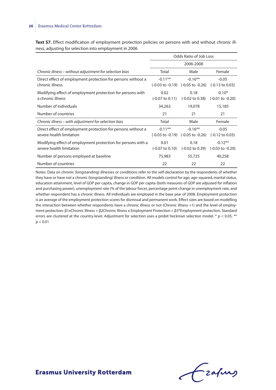**Text S7.** Effect modification of employment protection policies on persons with and without chronic illness, adjusting for selection into employment in 2006

|                                                                                          | Odds Ratio of Job Loss             |                                                                      |                                          |  |
|------------------------------------------------------------------------------------------|------------------------------------|----------------------------------------------------------------------|------------------------------------------|--|
|                                                                                          | 2006-2008                          |                                                                      |                                          |  |
| Chronic illness - without adjustment for selection bias                                  | Total                              | Male                                                                 | Female                                   |  |
| Direct effect of employment protection for persons without a<br>chronic illness          | $-0.11***$                         | $-0.16**$<br>$(-0.03 \text{ to } -0.19)$ $(-0.05 \text{ to } -0.26)$ | $-0.05$<br>$(-0.13 \text{ to } 0.03)$    |  |
| Modifying effect of employment protection for persons with<br>a chronic illness          | 0.02<br>$(-0.07 \text{ to } 0.11)$ | 0.18<br>(-0.02 to 0.38)                                              | $-0.10*$<br>$(-0.01 \text{ to } -0.20)$  |  |
| Number of individuals                                                                    | 34,263                             | 19,078                                                               | 15,185                                   |  |
| Number of countries                                                                      | 21                                 | 21                                                                   | 21                                       |  |
| Chronic illness – with adjustment for selection bias                                     | Total                              | Male                                                                 | Female                                   |  |
| Direct effect of employment protection for persons without a<br>severe health limitation | $-0.11**$                          | $-0.16**$<br>$(-0.03 \text{ to } -0.19)$ $(-0.05 \text{ to } -0.26)$ | $-0.05$<br>$(-0.12 \text{ to } 0.03)$    |  |
| Modifying effect of employment protection for persons with a<br>severe health limitation | 0.01<br>$(-0.07 \text{ to } 0.10)$ | 0.18<br>(-0.02 to 0.39)                                              | $-0.12**$<br>$(-0.03 \text{ to } -0.20)$ |  |
| Number of persons employed at baseline                                                   | 75,983                             | 35,725                                                               | 40,258                                   |  |
| Number of countries                                                                      | 22                                 | 22                                                                   | 22                                       |  |

Notes: Data on chronic (longstanding) illnesses or conditions refer to the self-declaration by the respondents of whether they have or have not a chronic (longstanding) illness or condition. All models control for age, age-squared, marital status, education attainment, level of GDP per capita, change in GDP per capita (both measures of GDP are adjusted for inflation and purchasing power), unemployment rate (% of the labour force), percentage point change in unemployment rate, and whether respondent has a chronic illness. All individuals are employed in the base year of 2008. Employment protection is an average of the employment protection scores for dismissal and permanent work. Effect sizes are based on modelling the interaction between whether respondents have a chronic illness or not (Chronic illness =1) and the level of employment protection: β1xChronic Illness + β2Chronic Illness x Employment Protection + β3\*Employment protection. Standard errors are clustered at the country-level. Adjustment for selection uses a probit heckman selection model.  $* p < 0.05$ ,  $**$  $p < 0.01$ 

Frahing